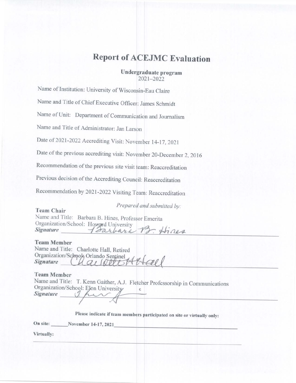# **Report of ACEJMC Evaluation**

Undergraduate program 2021-2022

Name of Institution: University of Wisconsin-Eau Claire

Name and Title of Chief Executive Officer: James Schmidt

Name of Unit: Department of Communication and Journalism

Name and Title of Administrator: Jan Larson

Date of 2021-2022 Accrediting Visit: November 14-17, 2021

Date of the previous accrediting visit: November 20-December 2, 2016

Recommendation of the previous site visit team: Reaccreditation

Previous decision of the Accrediting Council: Reaccreditation

Recommendation by 2021-2022 Visiting Team: Reaccreditation

Prepared and submitted by:

**Team Chair** Name and Title: Barbara B. Hines, Professor Emerita Organization/School: Howard University Hines **Signature** Toarbara

#### **Team Member**

| Name and Title: Charlotte Hall, Retired                                |
|------------------------------------------------------------------------|
|                                                                        |
| Organization/School; Orlando Sentinel<br>Signature (A G & SOULA & Leel |

#### **Team Member**

Name and Title: T. Kenn Gaither, A.J. Fletcher Professorship in Communications Organization/School: Elon University c Signature

Please indicate if team members participated on site or virtually only:

On site: November 14-17, 2021

Virtually: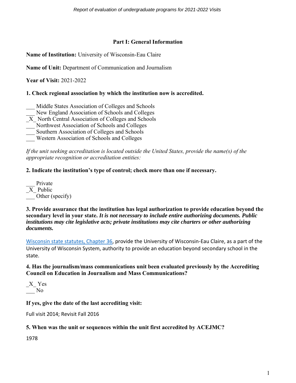## **Part I: General Information**

**Name of Institution:** University of Wisconsin-Eau Claire

**Name of Unit:** Department of Communication and Journalism

**Year of Visit:** 2021-2022

## **1. Check regional association by which the institution now is accredited.**

- Middle States Association of Colleges and Schools
- New England Association of Schools and Colleges
- \_X\_ North Central Association of Colleges and Schools
- Northwest Association of Schools and Colleges
- Southern Association of Colleges and Schools
- \_\_\_ Western Association of Schools and Colleges

*If the unit seeking accreditation is located outside the United States, provide the name(s) of the appropriate recognition or accreditation entities:* 

# **2. Indicate the institution's type of control; check more than one if necessary.**

| Private         |
|-----------------|
| X Public        |
| Other (specify) |

## **3. Provide assurance that the institution has legal authorization to provide education beyond the secondary level in your state.** *It is not necessary to include entire authorizing documents. Public institutions may cite legislative acts; private institutions may cite charters or other authorizing documents.*

[Wisconsin state statutes, Chapter 36,](https://docs.legis.wisconsin.gov/statutes/statutes/36) provide the University of Wisconsin-Eau Claire, as a part of the University of Wisconsin System, authority to provide an education beyond secondary school in the state.

## **4. Has the journalism/mass communications unit been evaluated previously by the Accrediting Council on Education in Journalism and Mass Communications?**

\_X\_ Yes \_\_\_ No

# **If yes, give the date of the last accrediting visit:**

Full visit 2014; Revisit Fall 2016

# **5. When was the unit or sequences within the unit first accredited by ACEJMC?**

1978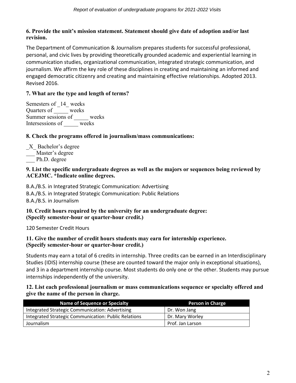# **6. Provide the unit's mission statement. Statement should give date of adoption and/or last revision.**

The Department of Communication & Journalism prepares students for successful professional, personal, and civic lives by providing theoretically grounded academic and experiential learning in communication studies, organizational communication, integrated strategic communication, and journalism. We affirm the key role of these disciplines in creating and maintaining an informed and engaged democratic citizenry and creating and maintaining effective relationships. Adopted 2013. Revised 2016.

# **7. What are the type and length of terms?**

Semesters of 14 weeks Quarters of \_\_\_\_\_ weeks Summer sessions of \_\_\_\_\_ weeks Intersessions of weeks

# **8. Check the programs offered in journalism/mass communications:**

\_X\_ Bachelor's degree Master's degree Ph.D. degree

## **9. List the specific undergraduate degrees as well as the majors or sequences being reviewed by ACEJMC. \*Indicate online degrees.**

B.A./B.S. in Integrated Strategic Communication: Advertising B.A./B.S. in Integrated Strategic Communication: Public Relations B.A./B.S. in Journalism

## **10. Credit hours required by the university for an undergraduate degree: (Specify semester-hour or quarter-hour credit.)**

120 Semester Credit Hours

## **11. Give the number of credit hours students may earn for internship experience. (Specify semester-hour or quarter-hour credit.)**

Students may earn a total of 6 credits in internship. Three credits can be earned in an Interdisciplinary Studies (IDIS) internship course (these are counted toward the major only in exceptional situations), and 3 in a department internship course. Most students do only one or the other. Students may pursue internships independently of the university.

**12. List each professional journalism or mass communications sequence or specialty offered and give the name of the person in charge.**

| <b>Name of Sequence or Specialty</b>                 | <b>Person in Charge</b> |
|------------------------------------------------------|-------------------------|
| Integrated Strategic Communication: Advertising      | Dr. Won Jang            |
| Integrated Strategic Communication: Public Relations | Dr. Mary Worley         |
| Journalism                                           | Prof. Jan Larson        |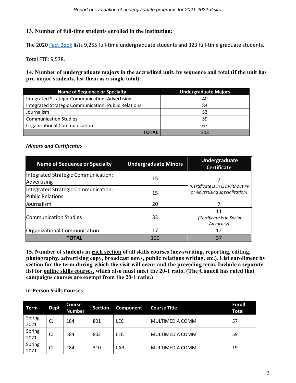## **13. Number of full-time students enrolled in the institution:**

The 2020 [Fact Book](https://www.uwec.edu/institutional-research/factbook-landing-page/factbook-enrollment/) lists 9,255 full-time undergraduate students and 323 full-time graduate students.

Total FTE: 9,578.

**14. Number of undergraduate majors in the accredited unit, by sequence and total (if the unit has pre-major students, list them as a single total):**

| <b>Name of Sequence or Specialty</b>                   | <b>Undergraduate Majors</b> |
|--------------------------------------------------------|-----------------------------|
| <b>Integrated Strategic Communication: Advertising</b> | 40                          |
| Integrated Strategic Communication: Public Relations   | 84                          |
| Journalism                                             | 53                          |
| <b>Communication Studies</b>                           | 59                          |
| <b>Organizational Communication</b>                    | 67                          |
| TOTAL                                                  | 303                         |

## *Minors and Certificates*

| <b>Name of Sequence or Specialty</b>                           | <b>Undergraduate Minors</b> | Undergraduate<br><b>Certificate</b>                                 |  |
|----------------------------------------------------------------|-----------------------------|---------------------------------------------------------------------|--|
| Integrated Strategic Communication:<br>Advertising             | 15                          |                                                                     |  |
| Integrated Strategic Communication:<br><b>Public Relations</b> | 15                          | (Certificate is in ISC without PR<br>or Advertising specialization) |  |
| <b>Journalism</b>                                              | 20                          |                                                                     |  |
| Communication Studies                                          | 33                          | 11<br>(Certificate is in Social<br>Advocacy)                        |  |
| Organizational Communication                                   | 17                          | 12                                                                  |  |
| ΤΟΤΑL                                                          | 100                         | 37                                                                  |  |

**15. Number of students in each section of all skills courses (newswriting, reporting, editing, photography, advertising copy, broadcast news, public relations writing, etc.). List enrollment by section for the term during which the visit will occur and the preceding term. Include a separate list for online skills courses, which also must meet the 20-1 ratio. (The Council has ruled that campaigns courses are exempt from the 20-1 ratio.)**

#### **In-Person Skills Courses**

| Term           | <b>Dept</b> | <b>Course</b><br><b>Number</b> | <b>Section</b> | <b>Component</b> | <b>Course Title</b> | <b>Enroll</b><br><b>Total</b> |
|----------------|-------------|--------------------------------|----------------|------------------|---------------------|-------------------------------|
| Spring<br>2021 | CJ          | 184                            | 801            | <b>LEC</b>       | MULTIMEDIA COMM     | 57                            |
| Spring<br>2021 | CJ          | 184                            | 802            | <b>LEC</b>       | MULTIMEDIA COMM     | 59                            |
| Spring<br>2021 | CJ          | 184                            | 310            | LAB              | MULTIMEDIA COMM     | 19                            |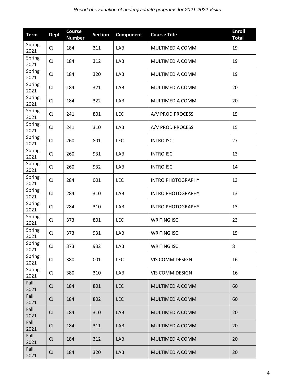| <b>Term</b>    | <b>Dept</b> | <b>Course</b><br><b>Number</b> | <b>Section</b> | Component  | <b>Course Title</b>      | <b>Enroll</b><br><b>Total</b> |
|----------------|-------------|--------------------------------|----------------|------------|--------------------------|-------------------------------|
| Spring<br>2021 | CJ          | 184                            | 311            | LAB        | MULTIMEDIA COMM          | 19                            |
| Spring<br>2021 | CJ          | 184                            | 312            | LAB        | MULTIMEDIA COMM          | 19                            |
| Spring<br>2021 | CJ          | 184                            | 320            | LAB        | MULTIMEDIA COMM          | 19                            |
| Spring<br>2021 | <b>CJ</b>   | 184                            | 321            | LAB        | MULTIMEDIA COMM          | 20                            |
| Spring<br>2021 | <b>CJ</b>   | 184                            | 322            | LAB        | MULTIMEDIA COMM          | 20                            |
| Spring<br>2021 | CJ          | 241                            | 801            | <b>LEC</b> | A/V PROD PROCESS         | 15                            |
| Spring<br>2021 | CJ          | 241                            | 310            | LAB        | A/V PROD PROCESS         | 15                            |
| Spring<br>2021 | CJ          | 260                            | 801            | <b>LEC</b> | <b>INTRO ISC</b>         | 27                            |
| Spring<br>2021 | CJ          | 260                            | 931            | LAB        | <b>INTRO ISC</b>         | 13                            |
| Spring<br>2021 | CJ          | 260                            | 932            | LAB        | <b>INTRO ISC</b>         | 14                            |
| Spring<br>2021 | CJ          | 284                            | 001            | <b>LEC</b> | <b>INTRO PHOTOGRAPHY</b> | 13                            |
| Spring<br>2021 | CJ          | 284                            | 310            | LAB        | <b>INTRO PHOTOGRAPHY</b> | 13                            |
| Spring<br>2021 | CJ          | 284                            | 310            | LAB        | <b>INTRO PHOTOGRAPHY</b> | 13                            |
| Spring<br>2021 | <b>CJ</b>   | 373                            | 801            | <b>LEC</b> | <b>WRITING ISC</b>       | 23                            |
| Spring<br>2021 | CJ          | 373                            | 931            | LAB        | <b>WRITING ISC</b>       | 15                            |
| Spring<br>2021 | CJ          | 373                            | 932            | LAB        | <b>WRITING ISC</b>       | 8                             |
| Spring<br>2021 | CJ          | 380                            | 001            | <b>LEC</b> | VIS COMM DESIGN          | 16                            |
| Spring<br>2021 | CJ          | 380                            | 310            | LAB        | VIS COMM DESIGN          | 16                            |
| Fall<br>2021   | CJ          | 184                            | 801            | <b>LEC</b> | MULTIMEDIA COMM          | 60                            |
| Fall<br>2021   | CJ          | 184                            | 802            | <b>LEC</b> | MULTIMEDIA COMM          | 60                            |
| Fall<br>2021   | CJ          | 184                            | 310            | LAB        | MULTIMEDIA COMM          | 20                            |
| Fall<br>2021   | CJ          | 184                            | 311            | LAB        | MULTIMEDIA COMM          | 20                            |
| Fall<br>2021   | CJ          | 184                            | 312            | LAB        | MULTIMEDIA COMM          | 20                            |
| Fall<br>2021   | CJ          | 184                            | 320            | LAB        | MULTIMEDIA COMM          | 20                            |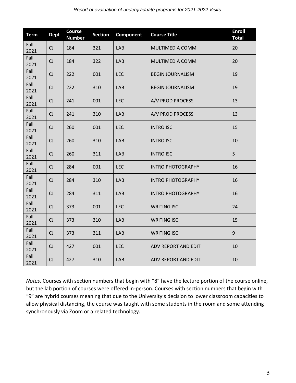| <b>Term</b>  | <b>Dept</b> | <b>Course</b><br><b>Number</b> | <b>Section</b> | Component  | <b>Course Title</b>      |        |
|--------------|-------------|--------------------------------|----------------|------------|--------------------------|--------|
| Fall<br>2021 | CJ          | 184                            | 321            | <b>LAB</b> | MULTIMEDIA COMM          | 20     |
| Fall<br>2021 | CJ          | 184                            | 322            | LAB        | <b>MULTIMEDIA COMM</b>   | 20     |
| Fall<br>2021 | CJ          | 222                            | 001            | <b>LEC</b> | <b>BEGIN JOURNALISM</b>  | 19     |
| Fall<br>2021 | CJ          | 222                            | 310            | LAB        | <b>BEGIN JOURNALISM</b>  | 19     |
| Fall<br>2021 | CJ          | 241                            | 001            | <b>LEC</b> | A/V PROD PROCESS         | 13     |
| Fall<br>2021 | CJ          | 241                            | 310            | LAB        | A/V PROD PROCESS         | 13     |
| Fall<br>2021 | CJ          | 260                            | 001            | <b>LEC</b> | <b>INTRO ISC</b>         | 15     |
| Fall<br>2021 | CJ          | 260                            | 310            | LAB        | <b>INTRO ISC</b>         | 10     |
| Fall<br>2021 | CJ          | 260                            | 311            | LAB        | <b>INTRO ISC</b>         | 5      |
| Fall<br>2021 | CJ          | 284                            | 001            | <b>LEC</b> | <b>INTRO PHOTOGRAPHY</b> |        |
| Fall<br>2021 | CJ          | 284                            | 310            | <b>LAB</b> | <b>INTRO PHOTOGRAPHY</b> |        |
| Fall<br>2021 | CJ          | 284                            | 311            | <b>LAB</b> | <b>INTRO PHOTOGRAPHY</b> | 16     |
| Fall<br>2021 | CJ          | 373                            | 001            | <b>LEC</b> | <b>WRITING ISC</b>       | 24     |
| Fall<br>2021 | CJ          | 373                            | 310            | LAB        | <b>WRITING ISC</b>       | 15     |
| Fall<br>2021 | CJ          | 373                            | 311            | LAB        | <b>WRITING ISC</b>       | 9      |
| Fall<br>2021 | CJ          | 427                            | 001            | <b>LEC</b> | ADV REPORT AND EDIT      | 10     |
| Fall<br>2021 | CJ          | 427                            | 310            | LAB        | ADV REPORT AND EDIT      | $10\,$ |

*Notes.* Courses with section numbers that begin with "8" have the lecture portion of the course online, but the lab portion of courses were offered in-person. Courses with section numbers that begin with "9" are hybrid courses meaning that due to the University's decision to lower classroom capacities to allow physical distancing, the course was taught with some students in the room and some attending synchronously via Zoom or a related technology.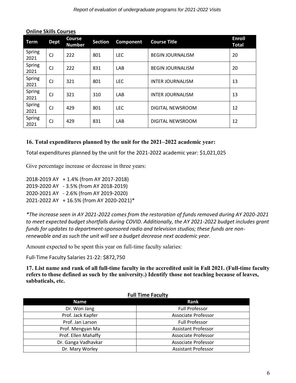| <b>Term</b>    | <b>Dept</b> | <b>Course</b><br><b>Number</b> | <b>Section</b> | Component  | <b>Course Title</b>     | <b>Enroll</b><br><b>Total</b> |
|----------------|-------------|--------------------------------|----------------|------------|-------------------------|-------------------------------|
| Spring<br>2021 | CJ          | 222                            | 801            | <b>LEC</b> | <b>BEGIN JOURNALISM</b> | 20                            |
| Spring<br>2021 | CJ          | 222                            | 831            | LAB        | <b>BEGIN JOURNALISM</b> | 20                            |
| Spring<br>2021 | CJ          | 321                            | 801            | <b>LEC</b> | <b>INTER JOURNALISM</b> | 13                            |
| Spring<br>2021 | <b>CJ</b>   | 321                            | 310            | <b>LAB</b> | <b>INTER JOURNALISM</b> | 13                            |
| Spring<br>2021 | <b>CJ</b>   | 429                            | 801            | <b>LEC</b> | DIGITAL NEWSROOM        | 12                            |
| Spring<br>2021 | C.          | 429                            | 831            | LAB        | DIGITAL NEWSROOM        | 12                            |

#### **Online Skills Courses**

## **16. Total expenditures planned by the unit for the 2021–2022 academic year:**

Total expenditures planned by the unit for the 2021-2022 academic year: \$1,021,025

Give percentage increase or decrease in three years:

2018-2019 AY + 1.4% (from AY 2017-2018) 2019-2020 AY - 3.5% (from AY 2018-2019) 2020-2021 AY - 2.6% (from AY 2019-2020) 2021-2022 AY + 16.5% (from AY 2020-2021)\*

*\*The increase seen in AY 2021-2022 comes from the restoration of funds removed during AY 2020-2021 to meet expected budget shortfalls during COVID. Additionally, the AY 2021-2022 budget includes grant funds for updates to department-sponsored radio and television studios; these funds are nonrenewable and as such the unit will see a budget decrease next academic year.*

Amount expected to be spent this year on full-time faculty salaries:

Full-Time Faculty Salaries 21-22: \$872,750

**17. List name and rank of all full-time faculty in the accredited unit in Fall 2021. (Full-time faculty refers to those defined as such by the university.) Identify those not teaching because of leaves, sabbaticals, etc.**

| <b>Full Time Faculty</b> |                            |  |  |  |  |
|--------------------------|----------------------------|--|--|--|--|
| Name                     | Rank                       |  |  |  |  |
| Dr. Won Jang             | <b>Full Professor</b>      |  |  |  |  |
| Prof. Jack Kapfer        | <b>Associate Professor</b> |  |  |  |  |
| Prof. Jan Larson         | <b>Full Professor</b>      |  |  |  |  |
| Prof. Mengyan Ma         | <b>Assistant Professor</b> |  |  |  |  |
| Prof. Ellen Mahaffy      | <b>Associate Professor</b> |  |  |  |  |
| Dr. Ganga Vadhavkar      | <b>Associate Professor</b> |  |  |  |  |
| Dr. Mary Worley          | <b>Assistant Professor</b> |  |  |  |  |

# **Full Time Faculty**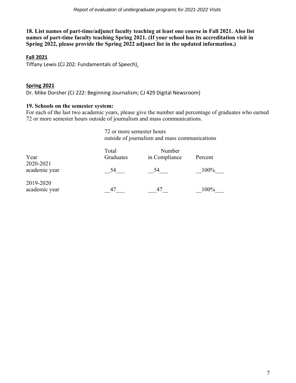**18. List names of part-time/adjunct faculty teaching at least one course in Fall 2021. Also list names of part-time faculty teaching Spring 2021. (If your school has its accreditation visit in Spring 2022, please provide the Spring 2022 adjunct list in the updated information.)**

## **Fall 2021**

Tiffany Lewis (CJ 202: Fundamentals of Speech)

## **Spring 2021**

Dr. Mike Dorsher (CJ 222: Beginning Journalism; CJ 429 Digital Newsroom)

## **19. Schools on the semester system:**

For each of the last two academic years, please give the number and percentage of graduates who earned 72 or more semester hours outside of journalism and mass communications.

> 72 or more semester hours outside of journalism and mass communications

| Year                       | Total<br>Graduates | Number<br>in Compliance | Percent |
|----------------------------|--------------------|-------------------------|---------|
| 2020-2021<br>academic year | 54                 | 54                      | 100%    |
| 2019-2020<br>academic year | 47                 | 4.                      | 100%    |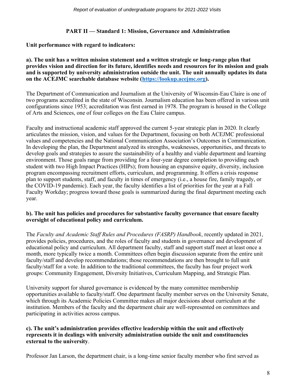## **PART II — Standard 1: Mission, Governance and Administration**

**Unit performance with regard to indicators:**

#### **a). The unit has a written mission statement and a written strategic or long-range plan that provides vision and direction for its future, identifies needs and resources for its mission and goals and is supported by university administration outside the unit. The unit annually updates its data on the ACEJMC searchable database website [\(https://lookup.acejmc.org\)](https://lookup.acejmc.org/).**

The Department of Communication and Journalism at the University of Wisconsin-Eau Claire is one of two programs accredited in the state of Wisconsin. Journalism education has been offered in various unit configurations since 1953; accreditation was first earned in 1978. The program is housed in the College of Arts and Sciences, one of four colleges on the Eau Claire campus.

Faculty and instructional academic staff approved the current 5-year strategic plan in 2020. It clearly articulates the mission, vision, and values for the Department, focusing on both ACEJMC professional values and competencies and the National Communication Association's Outcomes in Communication. In developing the plan, the Department analyzed its strengths, weaknesses, opportunities, and threats to develop goals and strategies to assure the sustainability of a healthy and viable department and learning environment. Those goals range from providing for a four-year degree completion to providing each student with two High Impact Practices (HIPs); from housing an expansive equity, diversity, inclusion program encompassing recruitment efforts, curriculum, and programming. It offers a crisis response plan to support students, staff, and faculty in times of emergency (i.e., a house fire, family tragedy, or the COVID-19 pandemic). Each year, the faculty identifies a list of priorities for the year at a Fall Faculty Workday; progress toward those goals is summarized during the final department meeting each year.

## **b). The unit has policies and procedures for substantive faculty governance that ensure faculty oversight of educational policy and curriculum.**

The *Faculty and Academic Staff Rules and Procedures (FASRP) Handbook*, recently updated in 2021, provides policies, procedures, and the roles of faculty and students in governance and development of educational policy and curriculum. All department faculty, staff and support staff meet at least once a month, more typically twice a month. Committees often begin discussion separate from the entire unit faculty/staff and develop recommendations; those recommendations are then brought to full unit faculty/staff for a vote. In addition to the traditional committees, the faculty has four project work groups: Community Engagement, Diversity Initiatives, Curriculum Mapping, and Strategic Plan.

University support for shared governance is evidenced by the many committee membership opportunities available to faculty/staff. One department faculty member serves on the University Senate, which through its Academic Policies Committee makes all major decisions about curriculum at the institution. Members of the faculty and the department chair are well-represented on committees and participating in activities across campus.

#### **c). The unit's administration provides effective leadership within the unit and effectively represents it in dealings with university administration outside the unit and constituencies external to the university**.

Professor Jan Larson, the department chair, is a long-time senior faculty member who first served as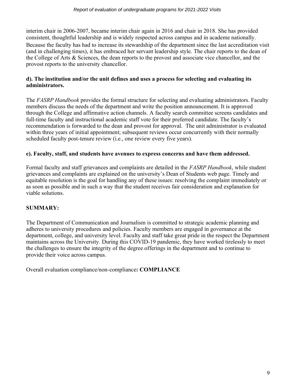interim chair in 2006-2007, became interim chair again in 2016 and chair in 2018. She has provided consistent, thoughtful leadership and is widely respected across campus and in academe nationally. Because the faculty has had to increase its stewardship of the department since the last accreditation visit (and in challenging times), it has embraced her servant leadership style. The chair reports to the dean of the College of Arts & Sciences, the dean reports to the provost and associate vice chancellor, and the provost reports to the university chancellor.

## **d). The institution and/or the unit defines and uses a process for selecting and evaluating its administrators.**

The *FASRP Handbook* provides the formal structure for selecting and evaluating administrators. Faculty members discuss the needs of the department and write the position announcement. It is approved through the College and affirmative action channels. A faculty search committee screens candidates and full-time faculty and instructional academic staff vote for their preferred candidate. The faculty's recommendation is forwarded to the dean and provost for approval. The unit administrator is evaluated within three years of initial appointment; subsequent reviews occur concurrently with their normally scheduled faculty post-tenure review (i.e., one review every five years).

## **e). Faculty, staff, and students have avenues to express concerns and have them addressed.**

Formal faculty and staff grievances and complaints are detailed in the *FASRP Handbook*, while student grievances and complaints are explained on the university's Dean of Students web page. Timely and equitable resolution is the goal for handling any of these issues: resolving the complaint immediately or as soon as possible and in such a way that the student receives fair consideration and explanation for viable solutions.

# **SUMMARY:**

The Department of Communication and Journalism is committed to strategic academic planning and adheres to university procedures and policies. Faculty members are engaged in governance at the department, college, and university level. Faculty and staff take great pride in the respect the Department maintains across the University. During this COVID-19 pandemic, they have worked tirelessly to meet the challenges to ensure the integrity of the degree offerings in the department and to continue to provide their voice across campus.

Overall evaluation compliance/non-compliance**: COMPLIANCE**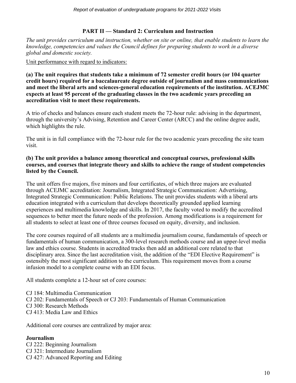## **PART II — Standard 2: Curriculum and Instruction**

*The unit provides curriculum and instruction, whether on site or online, that enable students to learn the knowledge, competencies and values the Council defines for preparing students to work in a diverse global and domestic society.* 

Unit performance with regard to indicators:

**(a) The unit requires that students take a minimum of 72 semester credit hours (or 104 quarter credit hours) required for a baccalaureate degree outside of journalism and mass communications and meet the liberal arts and sciences-general education requirements of the institution. ACEJMC expects at least 95 percent of the graduating classes in the two academic years preceding an accreditation visit to meet these requirements.**

A trio of checks and balances ensure each student meets the 72-hour rule: advising in the department, through the university's Advising, Retention and Career Center (ARCC) and the online degree audit, which highlights the rule.

The unit is in full compliance with the 72-hour rule for the two academic years preceding the site team visit.

## **(b) The unit provides a balance among theoretical and conceptual courses, professional skills courses, and courses that integrate theory and skills to achieve the range of student competencies listed by the Council.**

The unit offers five majors, five minors and four certificates, of which three majors are evaluated through ACEJMC accreditation: Journalism, Integrated Strategic Communication: Advertising, Integrated Strategic Communication: Public Relations. The unit provides students with a liberal arts education integrated with a curriculum that develops theoretically grounded applied learning experiences and multimedia knowledge and skills. In 2017, the faculty voted to modify the accredited sequences to better meet the future needs of the profession. Among modifications is a requirement for all students to select at least one of three courses focused on equity, diversity, and inclusion.

The core courses required of all students are a multimedia journalism course, fundamentals of speech or fundamentals of human communication, a 300-level research methods course and an upper-level media law and ethics course. Students in accredited tracks then add an additional core related to that disciplinary area. Since the last accreditation visit, the addition of the "EDI Elective Requirement" is ostensibly the most significant addition to the curriculum. This requirement moves from a course infusion model to a complete course with an EDI focus.

All students complete a 12-hour set of core courses:

- CJ 184: Multimedia Communication
- CJ 202: Fundamentals of Speech or CJ 203: Fundamentals of Human Communication
- CJ 300: Research Methods
- CJ 413: Media Law and Ethics

Additional core courses are centralized by major area:

## **Journalism**

CJ 222: Beginning Journalism CJ 321: Intermediate Journalism CJ 427: Advanced Reporting and Editing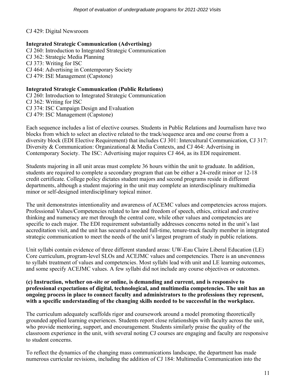CJ 429: Digital Newsroom

## **Integrated Strategic Communication (Advertising)**

CJ 260: Introduction to Integrated Strategic Communication CJ 362: Strategic Media Planning CJ 373: Writing for ISC CJ 464: Advertising in Contemporary Society CJ 479: ISE Management (Capstone)

## **Integrated Strategic Communication (Public Relations)**

CJ 260: Introduction to Integrated Strategic Communication

CJ 362: Writing for ISC

CJ 374: ISC Campaign Design and Evaluation

CJ 479: ISC Management (Capstone)

Each sequence includes a list of elective courses. Students in Public Relations and Journalism have two blocks from which to select an elective related to the track/sequence area and one course from a diversity block (EDI Elective Requirement) that includes CJ 301: Intercultural Communication, CJ 317: Diversity & Communication: Organizational & Media Contexts, and CJ 464: Advertising in Contemporary Society. The ISC: Advertising major requires CJ 464, as its EDI requirement.

Students majoring in all unit areas must complete 36 hours within the unit to graduate. In addition, students are required to complete a secondary program that can be either a 24-credit minor or 12-18 credit certificate. College policy dictates student majors and second programs reside in different departments, although a student majoring in the unit may complete an interdisciplinary multimedia minor or self-designed interdisciplinary topical minor.

The unit demonstrates intentionality and awareness of ACEMC values and competencies across majors. Professional Values/Competencies related to law and freedom of speech, ethics, critical and creative thinking and numeracy are met through the central core, while other values and competencies are specific to each major. The EDI requirement substantially addresses concerns noted in the unit's last accreditation visit, and the unit has secured a needed full-time, tenure-track faculty member in integrated strategic communication to meet the needs of the unit's largest program of study in public relations.

Unit syllabi contain evidence of three different standard areas: UW-Eau Claire Liberal Education (LE) Core curriculum, program-level SLOs and ACEJMC values and competencies. There is an unevenness to syllabi treatment of values and competencies. Most syllabi lead with unit and LE learning outcomes, and some specify ACEJMC values. A few syllabi did not include any course objectives or outcomes.

#### **(c) Instruction, whether on-site or online, is demanding and current, and is responsive to professional expectations of digital, technological, and multimedia competencies. The unit has an ongoing process in place to connect faculty and administrators to the professions they represent, with a specific understanding of the changing skills needed to be successful in the workplace.**

The curriculum adequately scaffolds rigor and coursework around a model promoting theoretically grounded applied learning experiences. Students report close relationships with faculty across the unit, who provide mentoring, support, and encouragement. Students similarly praise the quality of the classroom experience in the unit, with several noting CJ courses are engaging and faculty are responsive to student concerns.

To reflect the dynamics of the changing mass communications landscape, the department has made numerous curricular revisions, including the addition of CJ 184: Multimedia Communication into the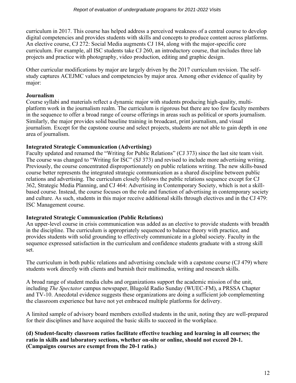curriculum in 2017. This course has helped address a perceived weakness of a central course to develop digital competencies and provides students with skills and concepts to produce content across platforms. An elective course, CJ 272: Social Media augments CJ 184, along with the major-specific core curriculum. For example, all ISC students take CJ 260, an introductory course, that includes three lab projects and practice with photography, video production, editing and graphic design.

Other curricular modifications by major are largely driven by the 2017 curriculum revision. The selfstudy captures ACEJMC values and competencies by major area. Among other evidence of quality by major:

## **Journalism**

Course syllabi and materials reflect a dynamic major with students producing high-quality, multiplatform work in the journalism realm. The curriculum is rigorous but there are too few faculty members in the sequence to offer a broad range of course offerings in areas such as political or sports journalism. Similarly, the major provides solid baseline training in broadcast, print journalism, and visual journalism. Except for the capstone course and select projects, students are not able to gain depth in one area of journalism.

## **Integrated Strategic Communication (Advertising)**

Faculty updated and renamed the "Writing for Public Relations" (CJ 373) since the last site team visit. The course was changed to "Writing for ISC" (SJ 373) and revised to include more advertising writing. Previously, the course concentrated disproportionately on public relations writing. The new skills-based course better represents the integrated strategic communication as a shared discipline between public relations and advertising. The curriculum closely follows the public relations sequence except for CJ 362, Strategic Media Planning, and CJ 464: Advertising in Contemporary Society, which is not a skillbased course. Instead, the course focuses on the role and function of advertising in contemporary society and culture. As such, students in this major receive additional skills through electives and in the CJ 479: ISC Management course.

## **Integrated Strategic Communication (Public Relations)**

An upper-level course in crisis communication was added as an elective to provide students with breadth in the discipline. The curriculum is appropriately sequenced to balance theory with practice, and provides students with solid grounding to effectively communicate in a global society. Faculty in the sequence expressed satisfaction in the curriculum and confidence students graduate with a strong skill set.

The curriculum in both public relations and advertising conclude with a capstone course (CJ 479) where students work directly with clients and burnish their multimedia, writing and research skills.

A broad range of student media clubs and organizations support the academic mission of the unit, including *The Spectator* campus newspaper, Blugold Radio Sunday (WUEC-FM), a PRSSA Chapter and TV-10. Anecdotal evidence suggests these organizations are doing a sufficient job complementing the classroom experience but have not yet embraced multiple platforms for delivery.

A limited sample of advisory board members extolled students in the unit, noting they are well-prepared for their disciplines and have acquired the basic skills to succeed in the workplace.

**(d) Student-faculty classroom ratios facilitate effective teaching and learning in all courses; the ratio in skills and laboratory sections, whether on-site or online, should not exceed 20-1. (Campaigns courses are exempt from the 20-1 ratio.)**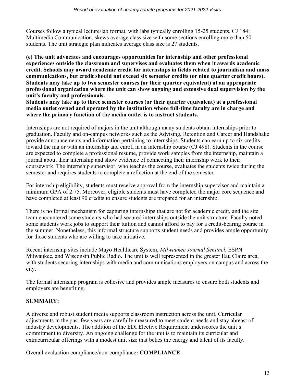Courses follow a typical lecture/lab format, with labs typically enrolling 15-25 students. CJ 184: Multimedia Communication, skews average class size with some sections enrolling more than 50 students. The unit strategic plan indicates average class size is 27 students.

**(e) The unit advocates and encourages opportunities for internship and other professional experiences outside the classroom and supervises and evaluates them when it awards academic credit. Schools may award academic credit for internships in fields related to journalism and mass communications, but credit should not exceed six semester credits (or nine quarter credit hours). Students may take up to two semester courses (or their quarter equivalent) at an appropriate professional organization where the unit can show ongoing and extensive dual supervision by the unit's faculty and professionals.**

**Students may take up to three semester courses (or their quarter equivalent) at a professional media outlet owned and operated by the institution where full-time faculty are in charge and where the primary function of the media outlet is to instruct students.**

Internships are not required of majors in the unit although many students obtain internships prior to graduation. Faculty and on-campus networks such as the Advising, Retention and Career and Handshake provide announcements and information pertaining to internships. Students can earn up to six credits toward the major with an internship and enroll in an internship course (CJ 498). Students in the course are expected to complete a professional resume, provide work samples from the internship, maintain a journal about their internship and show evidence of connecting their internship work to their coursework. The internship supervisor, who teaches the course, evaluates the students twice during the semester and requires students to complete a reflection at the end of the semester.

For internship eligibility, students must receive approval from the internship supervisor and maintain a minimum GPA of 2.75. Moreover, eligible students must have completed the major core sequence and have completed at least 90 credits to ensure students are prepared for an internship.

There is no formal mechanism for capturing internships that are not for academic credit, and the site team encountered some students who had secured internships outside the unit structure. Faculty noted some students work jobs to support their tuition and cannot afford to pay for a credit-bearing course in the summer. Nonetheless, this informal structure supports student needs and provides ample opportunity for those students who are willing to take initiative.

Recent internship sites include Mayo Healthcare System, *Milwaukee Journal Sentinel*, ESPN Milwaukee, and Wisconsin Public Radio. The unit is well represented in the greater Eau Claire area, with students securing internships with media and communications employers on campus and across the city.

The formal internship program is cohesive and provides ample measures to ensure both students and employers are benefiting.

# **SUMMARY:**

A diverse and robust student media supports classroom instruction across the unit. Curricular adjustments in the past few years are carefully measured to meet student needs and stay abreast of industry developments. The addition of the EDI Elective Requirement underscores the unit's commitment to diversity. An ongoing challenge for the unit is to maintain its curricular and extracurricular offerings with a modest unit size that belies the energy and talent of its faculty.

Overall evaluation compliance/non-compliance**: COMPLIANCE**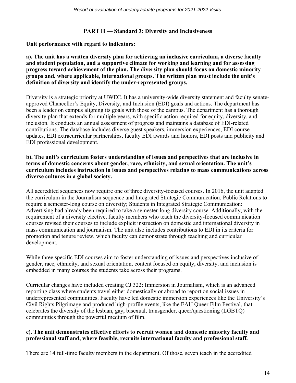#### **PART II — Standard 3: Diversity and Inclusiveness**

**Unit performance with regard to indicators:**

**a). The unit has a written diversity plan for achieving an inclusive curriculum, a diverse faculty and student population, and a supportive climate for working and learning and for assessing progress toward achievement of the plan. The diversity plan should focus on domestic minority groups and, where applicable, international groups. The written plan must include the unit's definition of diversity and identify the under-represented groups.**

Diversity is a strategic priority at UWEC. It has a university-wide diversity statement and faculty senateapproved Chancellor's Equity, Diversity, and Inclusion (EDI) goals and actions. The department has been a leader on campus aligning its goals with those of the campus. The department has a thorough diversity plan that extends for multiple years, with specific action required for equity, diversity, and inclusion. It conducts an annual assessment of progress and maintains a database of EDI-related contributions. The database includes diverse guest speakers, immersion experiences, EDI course updates, EDI extracurricular partnerships, faculty EDI awards and honors, EDI posts and publicity and EDI professional development.

**b). The unit's curriculum fosters understanding of issues and perspectives that are inclusive in terms of domestic concerns about gender, race, ethnicity, and sexual orientation. The unit's curriculum includes instruction in issues and perspectives relating to mass communications across diverse cultures in a global society.**

All accredited sequences now require one of three diversity-focused courses. In 2016, the unit adapted the curriculum in the Journalism sequence and Integrated Strategic Communication: Public Relations to require a semester-long course on diversity; Students in Integrated Strategic Communication: Advertising had already been required to take a semester-long diversity course. Additionally, with the requirement of a diversity elective, faculty members who teach the diversity-focused communication courses revised their courses to include explicit instruction on domestic and international diversity in mass communication and journalism. The unit also includes contributions to EDI in its criteria for promotion and tenure review, which faculty can demonstrate through teaching and curricular development.

While three specific EDI courses aim to foster understanding of issues and perspectives inclusive of gender, race, ethnicity, and sexual orientation, content focused on equity, diversity, and inclusion is embedded in many courses the students take across their programs.

Curricular changes have included creating CJ 322: Immersion in Journalism, which is an advanced reporting class where students travel either domestically or abroad to report on social issues in underrepresented communities. Faculty have led domestic immersion experiences like the University's Civil Rights Pilgrimage and produced high-profile events, like the EAU Queer Film Festival, that celebrates the diversity of the lesbian, gay, bisexual, transgender, queer/questioning (LGBTQ) communities through the powerful medium of film.

## **c). The unit demonstrates effective efforts to recruit women and domestic minority faculty and professional staff and, where feasible, recruits international faculty and professional staff.**

There are 14 full-time faculty members in the department. Of those, seven teach in the accredited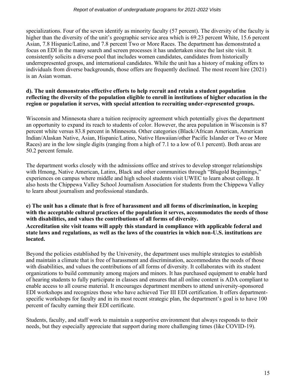specializations. Four of the seven identify as minority faculty (57 percent). The diversity of the faculty is higher than the diversity of the unit's geographic service area which is 69.23 percent White, 15.6 percent Asian, 7.8 Hispanic/Latino, and 7.8 percent Two or More Races. The department has demonstrated a focus on EDI in the many search and screen processes it has undertaken since the last site visit. It consistently solicits a diverse pool that includes women candidates, candidates from historically underrepresented groups, and international candidates. While the unit has a history of making offers to individuals from diverse backgrounds, those offers are frequently declined. The most recent hire (2021) is an Asian woman.

## **d). The unit demonstrates effective efforts to help recruit and retain a student population reflecting the diversity of the population eligible to enroll in institutions of higher education in the region or population it serves, with special attention to recruiting under-represented groups.**

Wisconsin and Minnesota share a tuition reciprocity agreement which potentially gives the department an opportunity to expand its reach to students of color. However, the area population in Wisconsin is 87 percent white versus 83.8 percent in Minnesota. Other categories (Black/African American, American Indian/Alaskan Native, Asian, Hispanic/Latino, Native Hawaiian/other Pacific Islander or Two or More Races) are in the low single digits (ranging from a high of 7.1 to a low of 0.1 percent). Both areas are 50.2 percent female.

The department works closely with the admissions office and strives to develop stronger relationships with Hmong, Native American, Latinx, Black and other communities through "Blugold Beginnings," experiences on campus where middle and high school students visit UWEC to learn about college. It also hosts the Chippewa Valley School Journalism Association for students from the Chippewa Valley to learn about journalism and professional standards.

## **e) The unit has a climate that is free of harassment and all forms of discrimination, in keeping with the acceptable cultural practices of the population it serves, accommodates the needs of those with disabilities, and values the contributions of all forms of diversity. Accreditation site visit teams will apply this standard in compliance with applicable federal and state laws and regulations, as well as the laws of the countries in which non-U.S. institutions are located.**

Beyond the policies established by the University, the department uses multiple strategies to establish and maintain a climate that is free of harassment and discrimination, accommodates the needs of those with disabilities, and values the contributions of all forms of diversity. It collaborates with its student organizations to build community among majors and minors. It has purchased equipment to enable hard of hearing students to fully participate in classes and ensures that all online content is ADA compliant to enable access to all course material. It encourages department members to attend university-sponsored EDI workshops and recognizes those who have achieved Tier III EDI certification. It offers departmentspecific workshops for faculty and in its most recent strategic plan, the department's goal is to have 100 percent of faculty earning their EDI certificate.

Students, faculty, and staff work to maintain a supportive environment that always responds to their needs, but they especially appreciate that support during more challenging times (like COVID-19).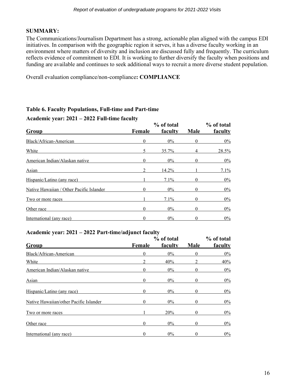## **SUMMARY:**

The Communications/Journalism Department has a strong, actionable plan aligned with the campus EDI initiatives. In comparison with the geographic region it serves, it has a diverse faculty working in an environment where matters of diversity and inclusion are discussed fully and frequently. The curriculum reflects evidence of commitment to EDI. It is working to further diversify the faculty when positions and funding are available and continues to seek additional ways to recruit a more diverse student population.

Overall evaluation compliance/non-compliance**: COMPLIANCE**

## **Table 6. Faculty Populations, Full-time and Part-time**

#### **Academic year: 2021 – 2022 Full-time faculty**

| Group                                    | Female | % of total<br>faculty | <b>Male</b> | % of total<br>faculty |
|------------------------------------------|--------|-----------------------|-------------|-----------------------|
| Black/African-American                   | 0      | $0\%$                 | 0           | 0%                    |
| White                                    | 5      | 35.7%                 | 4           | 28.5%                 |
| American Indian/Alaskan native           | 0      | $0\%$                 | 0           | $0\%$                 |
| Asian                                    |        | 14.2%                 |             | 7.1%                  |
| Hispanic/Latino (any race)               |        | 7.1%                  |             | $0\%$                 |
| Native Hawaiian / Other Pacific Islander | 0      | $0\%$                 | 0           | $0\%$                 |
| Two or more races                        |        | 7.1%                  |             | $0\%$                 |
| Other race                               | 0      | $0\%$                 | 0           | $0\%$                 |
| International (any race)                 | 0      | $0\%$                 | 0           | $0\%$                 |

## **Academic year: 2021 – 2022 Part-time/adjunct faculty**

| Group                                  | Female | % of total<br>faculty | <b>Male</b> | % of total<br>faculty |
|----------------------------------------|--------|-----------------------|-------------|-----------------------|
| Black/African-American                 | 0      | $0\%$                 | 0           | $0\%$                 |
| White                                  |        | 40%                   |             | 40%                   |
| American Indian/Alaskan native         | 0      | $0\%$                 | 0           | 0%                    |
| Asian                                  | 0      | $0\%$                 | 0           | 0%                    |
| Hispanic/Latino (any race)             | 0      | $0\%$                 | 0           | $0\%$                 |
| Native Hawaiian/other Pacific Islander | 0      | $0\%$                 | 0           | 0%                    |
| Two or more races                      |        | 20%                   | 0           | $0\%$                 |
| Other race                             | 0      | $0\%$                 | 0           | 0%                    |
| International (any race)               | 0      | $0\%$                 | 0           | $0\%$                 |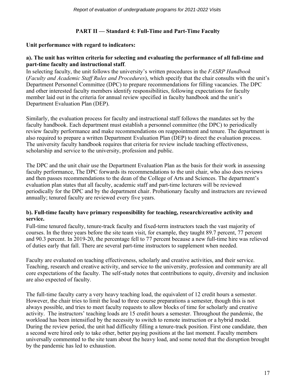## **PART II — Standard 4: Full-Time and Part-Time Faculty**

#### **Unit performance with regard to indicators:**

#### **a). The unit has written criteria for selecting and evaluating the performance of all full-time and part-time faculty and instructional staff**.

In selecting faculty, the unit follows the university's written procedures in the *FASRP Handbook* (*Faculty and Academic Staff Rules and Procedures*), which specify that the chair consults with the unit's Department Personnel Committee (DPC) to prepare recommendations for filling vacancies. The DPC and other interested faculty members identify responsibilities, following expectations for faculty member laid out in the criteria for annual review specified in faculty handbook and the unit's Department Evaluation Plan (DEP).

Similarly, the evaluation process for faculty and instructional staff follows the mandates set by the faculty handbook. Each department must establish a personnel committee (the DPC) to periodically review faculty performance and make recommendations on reappointment and tenure. The department is also required to prepare a written Department Evaluation Plan (DEP) to direct the evaluation process. The university faculty handbook requires that criteria for review include teaching effectiveness, scholarship and service to the university, profession and public.

The DPC and the unit chair use the Department Evaluation Plan as the basis for their work in assessing faculty performance, The DPC forwards its recommendations to the unit chair, who also does reviews and then passes recommendations to the dean of the College of Arts and Sciences. The department's evaluation plan states that all faculty, academic staff and part-time lecturers will be reviewed periodically for the DPC and by the department chair. Probationary faculty and instructors are reviewed annually; tenured faculty are reviewed every five years.

## **b). Full-time faculty have primary responsibility for teaching, research/creative activity and service.**

Full-time tenured faculty, tenure-track faculty and fixed-term instructors teach the vast majority of courses. In the three years before the site team visit, for example, they taught 89.7 percent, 77 percent and 90.3 percent. In 2019-20, the percentage fell to 77 percent because a new full-time hire was relieved of duties early that fall. There are several part-time instructors to supplement when needed.

Faculty are evaluated on teaching effectiveness, scholarly and creative activities, and their service. Teaching, research and creative activity, and service to the university, profession and community are all core expectations of the faculty. The self-study notes that contributions to equity, diversity and inclusion are also expected of faculty.

The full-time faculty carry a very heavy teaching load, the equivalent of 12 credit hours a semester. However, the chair tries to limit the load to three course preparations a semester, though this is not always possible, and tries to meet faculty requests to allow blocks of time for scholarly and creative activity. The instructors' teaching loads are 15 credit hours a semester. Throughout the pandemic, the workload has been intensified by the necessity to switch to remote instruction or a hybrid model. During the review period, the unit had difficulty filling a tenure-track position. First one candidate, then a second were hired only to take other, better paying positions at the last moment. Faculty members universally commented to the site team about the heavy load, and some noted that the disruption brought by the pandemic has led to exhaustion.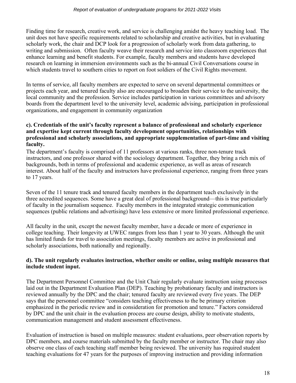Finding time for research, creative work, and service is challenging amidst the heavy teaching load. The unit does not have specific requirements related to scholarship and creative activities, but in evaluating scholarly work, the chair and DCP look for a progression of scholarly work from data gathering, to writing and submission. Often faculty weave their research and service into classroom experiences that enhance learning and benefit students. For example, faculty members and students have developed research on learning in immersion environments such as the bi-annual Civil Conversations course in which students travel to southern cities to report on foot soldiers of the Civil Rights movement.

In terms of service, all faculty members are expected to serve on several departmental committees or projects each year, and tenured faculty also are encouraged to broaden their service to the university, the local community and the profession. Service includes participation in various committees and advisory boards from the department level to the university level, academic advising, participation in professional organizations, and engagement in community organization

#### **c). Credentials of the unit's faculty represent a balance of professional and scholarly experience and expertise kept current through faculty development opportunities, relationships with professional and scholarly associations, and appropriate supplementation of part-time and visiting faculty.**

The department's faculty is comprised of 11 professors at various ranks, three non-tenure track instructors, and one professor shared with the sociology department. Together, they bring a rich mix of backgrounds, both in terms of professional and academic experience, as well as areas of research interest. About half of the faculty and instructors have professional experience, ranging from three years to 17 years.

Seven of the 11 tenure track and tenured faculty members in the department teach exclusively in the three accredited sequences. Some have a great deal of professional background—this is true particularly of faculty in the journalism sequence. Faculty members in the integrated strategic communication sequences (public relations and advertising) have less extensive or more limited professional experience.

All faculty in the unit, except the newest faculty member, have a decade or more of experience in college teaching. Their longevity at UWEC ranges from less than 1 year to 30 years. Although the unit has limited funds for travel to association meetings, faculty members are active in professional and scholarly associations, both nationally and regionally.

## **d). The unit regularly evaluates instruction, whether onsite or online, using multiple measures that include student input.**

The Department Personnel Committee and the Unit Chair regularly evaluate instruction using processes laid out in the Department Evaluation Plan (DEP). Teaching by probationary faculty and instructors is reviewed annually by the DPC and the chair; tenured faculty are reviewed every five years. The DEP says that the personnel committee "considers teaching effectiveness to the be primary criterion emphasized in the periodic review and in consideration for promotion and tenure." Factors considered by DPC and the unit chair in the evaluation process are course design, ability to motivate students, communication management and student assessment effectiveness.

Evaluation of instruction is based on multiple measures: student evaluations, peer observation reports by DPC members, and course materials submitted by the faculty member or instructor. The chair may also observe one class of each teaching staff member being reviewed. The university has required student teaching evaluations for 47 years for the purposes of improving instruction and providing information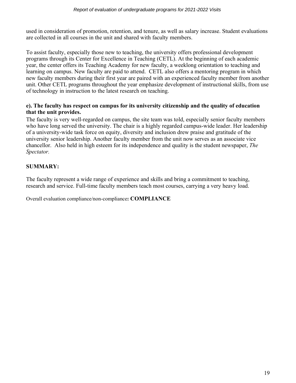used in consideration of promotion, retention, and tenure, as well as salary increase. Student evaluations are collected in all courses in the unit and shared with faculty members.

To assist faculty, especially those new to teaching, the university offers professional development programs through its Center for Excellence in Teaching (CETL). At the beginning of each academic year, the center offers its Teaching Academy for new faculty, a weeklong orientation to teaching and learning on campus. New faculty are paid to attend. CETL also offers a mentoring program in which new faculty members during their first year are paired with an experienced faculty member from another unit. Other CETL programs throughout the year emphasize development of instructional skills, from use of technology in instruction to the latest research on teaching.

## **e). The faculty has respect on campus for its university citizenship and the quality of education that the unit provides.**

The faculty is very well-regarded on campus, the site team was told, especially senior faculty members who have long served the university. The chair is a highly regarded campus-wide leader. Her leadership of a university-wide task force on equity, diversity and inclusion drew praise and gratitude of the university senior leadership. Another faculty member from the unit now serves as an associate vice chancellor. Also held in high esteem for its independence and quality is the student newspaper, *The Spectator.*

# **SUMMARY:**

The faculty represent a wide range of experience and skills and bring a commitment to teaching, research and service. Full-time faculty members teach most courses, carrying a very heavy load.

Overall evaluation compliance/non-compliance**: COMPLIANCE**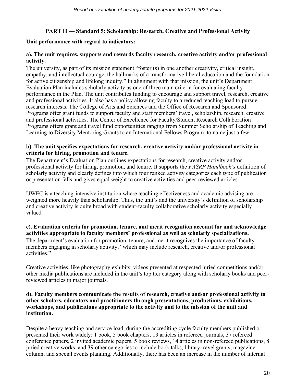## **PART II — Standard 5: Scholarship: Research, Creative and Professional Activity**

## **Unit performance with regard to indicators:**

## **a). The unit requires, supports and rewards faculty research, creative activity and/or professional activity.**

The university, as part of its mission statement "foster (s) in one another creativity, critical insight, empathy, and intellectual courage, the hallmarks of a transformative liberal education and the foundation for active citizenship and lifelong inquiry." In alignment with that mission, the unit's Department Evaluation Plan includes scholarly activity as one of three main criteria for evaluating faculty performance in the Plan. The unit contributes funding to encourage and support travel, research, creative and professional activities. It also has a policy allowing faculty to a reduced teaching load to pursue research interests. The College of Arts and Sciences and the Office of Research and Sponsored Programs offer grant funds to support faculty and staff members' travel, scholarship, research, creative and professional activities. The Center of Excellence for Faculty/Student Research Collaboration Programs offers grant and travel fund opportunities ranging from Summer Scholarship of Teaching and Learning to Diversity Mentoring Grants to an International Fellows Program, to name just a few.

## **b). The unit specifies expectations for research, creative activity and/or professional activity in criteria for hiring, promotion and tenure.**

The Department's Evaluation Plan outlines expectations for research, creative activity and/or professional activity for hiring, promotion, and tenure. It supports the *FASRP Handbook's* definition of scholarly activity and clearly defines into which four ranked activity categories each type of publication or presentation falls and gives equal weight to creative activities and peer-reviewed articles.

UWEC is a teaching-intensive institution where teaching effectiveness and academic advising are weighted more heavily than scholarship. Thus, the unit's and the university's definition of scholarship and creative activity is quite broad with student-faculty collaborative scholarly activity especially valued.

## **c). Evaluation criteria for promotion, tenure, and merit recognition account for and acknowledge activities appropriate to faculty members' professional as well as scholarly specializations.**

The department's evaluation for promotion, tenure, and merit recognizes the importance of faculty members engaging in scholarly activity, "which may include research, creative and/or professional activities."

Creative activities, like photography exhibits, videos presented at respected juried competitions and/or other media publications are included in the unit's top tier category along with scholarly books and peerreviewed articles in major journals.

#### **d). Faculty members communicate the results of research, creative and/or professional activity to other scholars, educators and practitioners through presentations, productions, exhibitions, workshops, and publications appropriate to the activity and to the mission of the unit and institution.**

Despite a heavy teaching and service load, during the accrediting cycle faculty members published or presented their work widely: 1 book, 5 book chapters, 13 articles in refereed journals, 37 refereed conference papers, 2 invited academic papers, 5 book reviews, 14 articles in non-refereed publications, 8 juried creative works, and 39 other categories to include book talks, library travel grants, magazine column, and special events planning. Additionally, there has been an increase in the number of internal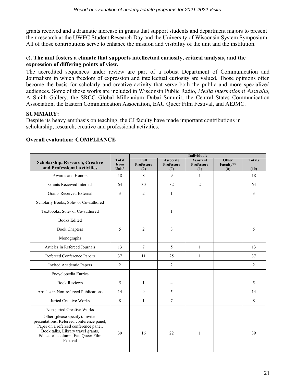grants received and a dramatic increase in grants that support students and department majors to present their research at the UWEC Student Research Day and the University of Wisconsin System Symposium. All of those contributions serve to enhance the mission and visibility of the unit and the institution.

#### **e). The unit fosters a climate that supports intellectual curiosity, critical analysis, and the expression of differing points of view.**

The accredited sequences under review are part of a robust Department of Communication and Journalism in which freedom of expression and intellectual curiosity are valued. Those opinions often become the basis for scholarly and creative activity that serve both the public and more specialized audiences. Some of those works are included in Wisconsin Public Radio, *Media International Australia,*  A Smith Gallery, the SRCC Global Millennium Dubai Summit, the Central States Communication Association, the Eastern Communication Association, EAU Queer Film Festival, and AEJMC.

## **SUMMARY:**

Despite its heavy emphasis on teaching, the CJ faculty have made important contributions in scholarship, research, creative and professional activities.

|                                                                                                                                                                                                              |                               | <b>Individuals</b>               |                                              |                                              |                                  |                       |
|--------------------------------------------------------------------------------------------------------------------------------------------------------------------------------------------------------------|-------------------------------|----------------------------------|----------------------------------------------|----------------------------------------------|----------------------------------|-----------------------|
| <b>Scholarship, Research, Creative</b><br>and Professional Activities                                                                                                                                        | <b>Total</b><br>from<br>Unit* | Full<br><b>Professors</b><br>(2) | <b>Associate</b><br><b>Professors</b><br>(7) | <b>Assistant</b><br><b>Professors</b><br>(1) | <b>Other</b><br>Faculty**<br>(0) | <b>Totals</b><br>(10) |
| Awards and Honors                                                                                                                                                                                            | 18                            | 8                                | 9                                            | $\mathbf{1}$                                 |                                  | 18                    |
| <b>Grants Received Internal</b>                                                                                                                                                                              | 64                            | 30                               | 32                                           | $\overline{2}$                               |                                  | 64                    |
| <b>Grants Received External</b>                                                                                                                                                                              | 3                             | 2                                | $\mathbf{1}$                                 |                                              |                                  | 3                     |
| Scholarly Books, Sole- or Co-authored                                                                                                                                                                        |                               |                                  |                                              |                                              |                                  |                       |
| Textbooks, Sole- or Co-authored                                                                                                                                                                              |                               |                                  | $\mathbf{1}$                                 |                                              |                                  |                       |
| <b>Books Edited</b>                                                                                                                                                                                          |                               |                                  |                                              |                                              |                                  |                       |
| <b>Book Chapters</b>                                                                                                                                                                                         | 5                             | 2                                | 3                                            |                                              |                                  | 5                     |
| Monographs                                                                                                                                                                                                   |                               |                                  |                                              |                                              |                                  |                       |
| Articles in Refereed Journals                                                                                                                                                                                | 13                            | $\tau$                           | 5                                            | $\mathbf{1}$                                 |                                  | 13                    |
| Refereed Conference Papers                                                                                                                                                                                   | 37                            | 11                               | 25                                           | $\mathbf{1}$                                 |                                  | 37                    |
| Invited Academic Papers                                                                                                                                                                                      | 2                             |                                  | $\overline{2}$                               |                                              |                                  | $\overline{2}$        |
| Encyclopedia Entries                                                                                                                                                                                         |                               |                                  |                                              |                                              |                                  |                       |
| <b>Book Reviews</b>                                                                                                                                                                                          | 5                             | 1                                | 4                                            |                                              |                                  | 5                     |
| Articles in Non-refereed Publications                                                                                                                                                                        | 14                            | 9                                | 5                                            |                                              |                                  | 14                    |
| Juried Creative Works                                                                                                                                                                                        | 8                             | 1                                | 7                                            |                                              |                                  | 8                     |
| Non-juried Creative Works                                                                                                                                                                                    |                               |                                  |                                              |                                              |                                  |                       |
| Other (please specify): Invited<br>presentations, Refereed conference panel,<br>Paper on a refereed conference panel,<br>Book talks, Library travel grants,<br>Educator's column, Eau Queer Film<br>Festival | 39                            | 16                               | 22                                           | $\mathbf{1}$                                 |                                  | 39                    |

## **Overall evaluation: COMPLIANCE**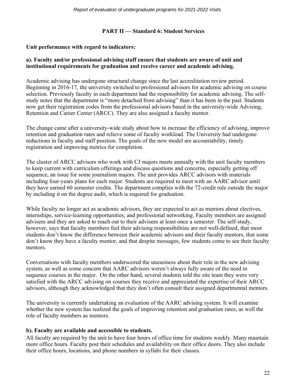#### **PART II — Standard 6: Student Services**

#### **Unit performance with regard to indicators:**

## **a). Faculty and/or professional advising staff ensure that students are aware of unit and institutional requirements for graduation and receive career and academic advising.**

Academic advising has undergone structural change since the last accreditation review period. Beginning in 2016-17, the university switched to professional advisors for academic advising on course selection. Previously faculty in each department had the responsibility for academic advising. The selfstudy notes that the department is "more detached from advising" than it has been in the past. Students now get their registration codes from the professional advisors based in the university-wide Advising, Retention and Career Center (ARCC). They are also assigned a faculty mentor.

The change came after a university-wide study about how to increase the efficiency of advising, improve retention and graduation rates and relieve some of faculty workload. The University had undergone reductions in faculty and staff position. The goals of the new model are accountability, timely registration and improving metrics for completion.

The cluster of ARCC advisors who work with CJ majors meets annually with the unit faculty members to keep current with curriculum offerings and discuss questions and concerns, especially getting off sequence, an issue for some journalism majors. The unit provides ARCC advisors with materials including four-years plans for each major. Students are required to meet with an AARC advisor until they have earned 60 semester credits. The department complies with the 72-credit rule outside the major by including it on the degree audit, which is required for graduation.

While faculty no longer act as academic advisors, they are expected to act as mentors about electives, internships, service-learning opportunities, and professional networking. Faculty members are assigned advisees and they are asked to reach out to their advisees at least once a semester. The self-study, however, says that faculty members feel their advising responsibilities are not well-defined, that most students don't know the difference between their academic advisors and their faculty mentors, that some don't know they have a faculty mentor, and that despite messages, few students come to see their faculty mentors.

Conversations with faculty members underscored the uneasiness about their role in the new advising system, as well as some concern that AARC advisors weren't always fully aware of the need to sequence courses in the major. On the other hand, several students told the site team they were very satisfied with the ARCC advising on courses they receive and appreciated the expertise of their ARCC advisors, although they acknowledged that they don't often consult their assigned departmental mentors.

The university is currently undertaking an evaluation of the AARC advising system. It will examine whether the new system has realized the goals of improving retention and graduation rates, as well the role of faculty members as mentors.

#### **b). Faculty are available and accessible to students.**

All faculty are required by the unit to have four hours of office time for students weekly. Many maintain more office hours. Faculty post their schedules and availability on their office doors. They also include their office hours, locations, and phone numbers in syllabi for their classes.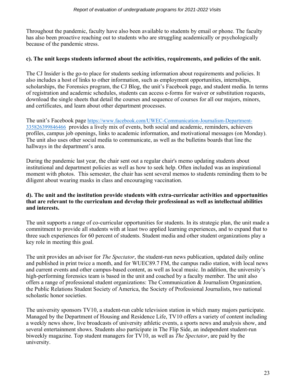Throughout the pandemic, faculty have also been available to students by email or phone. The faculty has also been proactive reaching out to students who are struggling academically or psychologically because of the pandemic stress.

## **c). The unit keeps students informed about the activities, requirements, and policies of the unit.**

The CJ Insider is the go-to place for students seeking information about requirements and policies. It also includes a host of links to other information, such as employment opportunities, internships, scholarships, the Forensics program, the CJ Blog, the unit's Facebook page, and student media. In terms of registration and academic schedules, students can access e-forms for waiver or substitution requests, download the single sheets that detail the courses and sequence of courses for all our majors, minors, and certificates, and learn about other department processes.

The unit's Facebook page [https://www.facebook.com/UWEC-Communication-Journalism-Department-](https://www.facebook.com/UWEC-Communication-Journalism-Department-335826399846466)[335826399846466](https://www.facebook.com/UWEC-Communication-Journalism-Department-335826399846466) provides a lively mix of events, both social and academic, reminders, achievers profiles, campus job openings, links to academic information, and motivational messages (on Monday). The unit also uses other social media to communicate, as well as the bulletins boards that line the hallways in the department's area.

During the pandemic last year, the chair sent out a regular chair's memo updating students about institutional and department policies as well as how to seek help. Often included was an inspirational moment with photos. This semester, the chair has sent several memos to students reminding them to be diligent about wearing masks in class and encouraging vaccination.

## **d). The unit and the institution provide students with extra-curricular activities and opportunities that are relevant to the curriculum and develop their professional as well as intellectual abilities and interests.**

The unit supports a range of co-curricular opportunities for students. In its strategic plan, the unit made a commitment to provide all students with at least two applied learning experiences, and to expand that to three such experiences for 60 percent of students. Student media and other student organizations play a key role in meeting this goal.

The unit provides an advisor for *The Spectator*, the student-run news publication, updated daily online and published in print twice a month, and for WUEC89.7 FM, the campus radio station, with local news and current events and other campus-based content, as well as local music. In addition, the university's high-performing forensics team is based in the unit and coached by a faculty member. The unit also offers a range of professional student organizations: The Communication & Journalism Organization, the Public Relations Student Society of America, the Society of Professional Journalists, two national scholastic honor societies.

The university sponsors TV10, a student-run cable television station in which many majors participate. Managed by the Department of Housing and Residence Life, TV10 offers a variety of content including a weekly news show, live broadcasts of university athletic events, a sports news and analysis show, and several entertainment shows. Students also participate in The Flip Side, an independent student-run biweekly magazine. Top student managers for TV10, as well as *The Spectator*, are paid by the university.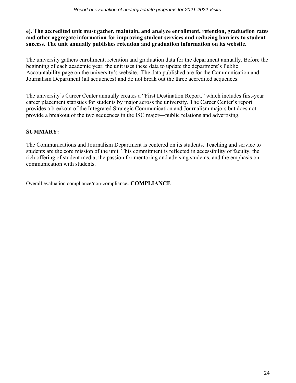## **e). The accredited unit must gather, maintain, and analyze enrollment, retention, graduation rates and other aggregate information for improving student services and reducing barriers to student success. The unit annually publishes retention and graduation information on its website.**

The university gathers enrollment, retention and graduation data for the department annually. Before the beginning of each academic year, the unit uses these data to update the department's Public Accountability page on the university's website. The data published are for the Communication and Journalism Department (all sequences) and do not break out the three accredited sequences.

The university's Career Center annually creates a "First Destination Report," which includes first-year career placement statistics for students by major across the university. The Career Center's report provides a breakout of the Integrated Strategic Communication and Journalism majors but does not provide a breakout of the two sequences in the ISC major—public relations and advertising.

# **SUMMARY:**

The Communications and Journalism Department is centered on its students. Teaching and service to students are the core mission of the unit. This commitment is reflected in accessibility of faculty, the rich offering of student media, the passion for mentoring and advising students, and the emphasis on communication with students.

Overall evaluation compliance/non-compliance**: COMPLIANCE**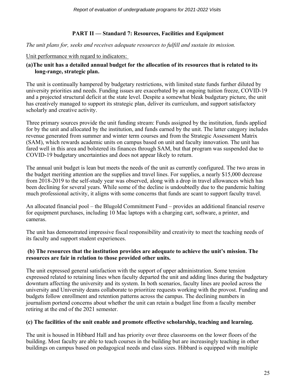# **PART II — Standard 7: Resources, Facilities and Equipment**

#### *The unit plans for, seeks and receives adequate resources to fulfill and sustain its mission.*

#### Unit performance with regard to indicators:

## **(a)The unit has a detailed annual budget for the allocation of its resources that is related to its long-range, strategic plan.**

The unit is continually hampered by budgetary restrictions, with limited state funds further diluted by university priorities and needs. Funding issues are exacerbated by an ongoing tuition freeze, COVID-19 and a projected structural deficit at the state level. Despite a somewhat bleak budgetary picture, the unit has creatively managed to support its strategic plan, deliver its curriculum, and support satisfactory scholarly and creative activity.

Three primary sources provide the unit funding stream: Funds assigned by the institution, funds applied for by the unit and allocated by the institution, and funds earned by the unit. The latter category includes revenue generated from summer and winter term courses and from the Strategic Assessment Matrix (SAM), which rewards academic units on campus based on unit and faculty innovation. The unit has fared well in this area and bolstered its finances through SAM, but that program was suspended due to COVID-19 budgetary uncertainties and does not appear likely to return.

The annual unit budget is lean but meets the needs of the unit as currently configured. The two areas in the budget meriting attention are the supplies and travel lines. For supplies, a nearly \$15,000 decrease from 2018-2019 to the self-study year was observed, along with a drop in travel allowances which has been declining for several years. While some of the decline is undoubtedly due to the pandemic halting much professional activity, it aligns with some concerns that funds are scant to support faculty travel.

An allocated financial pool – the Blugold Commitment Fund – provides an additional financial reserve for equipment purchases, including 10 Mac laptops with a charging cart, software, a printer, and cameras.

The unit has demonstrated impressive fiscal responsibility and creativity to meet the teaching needs of its faculty and support student experiences.

## **(b) The resources that the institution provides are adequate to achieve the unit's mission. The resources are fair in relation to those provided other units.**

The unit expressed general satisfaction with the support of upper administration. Some tension expressed related to retaining lines when faculty departed the unit and adding lines during the budgetary downturn affecting the university and its system. In both scenarios, faculty lines are pooled across the university and University deans collaborate to prioritize requests working with the provost. Funding and budgets follow enrollment and retention patterns across the campus. The declining numbers in journalism portend concerns about whether the unit can retain a budget line from a faculty member retiring at the end of the 2021 semester.

#### **(c) The facilities of the unit enable and promote effective scholarship, teaching and learning.**

The unit is housed in Hibbard Hall and has priority over three classrooms on the lower floors of the building. Most faculty are able to teach courses in the building but are increasingly teaching in other buildings on campus based on pedagogical needs and class sizes. Hibbard is equipped with multiple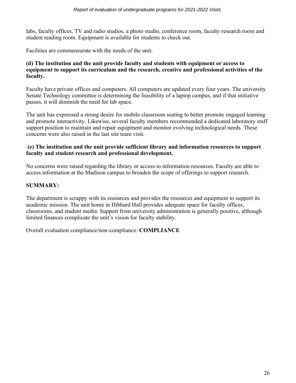labs, faculty offices, TV and radio studios, a photo studio, conference room, faculty research room and student reading room. Equipment is available for students to check out.

Facilities are commensurate with the needs of the unit.

#### **(d) The institution and the unit provide faculty and students with equipment or access to equipment to support its curriculum and the research, creative and professional activities of the faculty.**

Faculty have private offices and computers. All computers are updated every four years. The university Senate Technology committee is determining the feasibility of a laptop campus, and if that initiative passes, it will diminish the need for lab space.

The unit has expressed a strong desire for mobile classroom seating to better promote engaged learning and promote interactivity. Likewise, several faculty members recommended a dedicated laboratory staff support position to maintain and repair equipment and monitor evolving technological needs. These concerns were also raised in the last site team visit.

## **(e) The institution and the unit provide sufficient library and information resources to support faculty and student research and professional development.**

No concerns were raised regarding the library or access to information resources. Faculty are able to access information at the Madison campus to broaden the scope of offerings to support research.

## **SUMMARY:**

The department is scrappy with its resources and provides the resources and equipment to support its academic mission. The unit home in Hibbard Hall provides adequate space for faculty offices, classrooms, and student media. Support from university administration is generally positive, although limited finances complicate the unit's vision for faculty stability.

Overall evaluation compliance/non-compliance: **COMPLIANCE**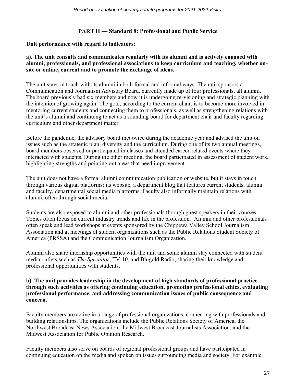## **PART II — Standard 8: Professional and Public Service**

#### **Unit performance with regard to indicators:**

#### **a). The unit consults and communicates regularly with its alumni and is actively engaged with alumni, professionals, and professional associations to keep curriculum and teaching, whether onsite or online, current and to promote the exchange of ideas.**

The unit stays in touch with its alumni in both formal and informal ways. The unit sponsors a Communication and Journalism Advisory Board, currently made up of four professionals, all alumni. The board previously had six members and now it is undergoing re-visioning and strategic planning with the intention of growing again. The goal, according to the current chair, is to become more involved in mentoring current students and connecting them to professionals, as well as strengthening relations with the unit's alumni and continuing to act as a sounding board for department chair and faculty regarding curriculum and other department matter.

Before the pandemic, the advisory board met twice during the academic year and advised the unit on issues such as the strategic plan, diversity and the curriculum. During one of its two annual meetings, board members observed or participated in classes and attended career-related events where they interacted with students. During the other meeting, the board participated in assessment of student work, highlighting strengths and pointing out areas that need improvement.

The unit does not have a formal alumni communication publication or website, but it stays in touch through various digital platforms: its website, a department blog that features current students, alumni and faculty, departmental social media platforms. Faculty also informally maintain relations with alumni, often through social media.

Students are also exposed to alumni and other professionals through guest speakers in their courses. Topics often focus on current industry trends and life in the profession. Alumni and other professionals often speak and lead workshops at events sponsored by the Chippewa Valley School Journalism Association and at meetings of student organizations such as the Public Relations Student Society of America (PRSSA) and the Communication Journalism Organization.

Alumni also share internship opportunities with the unit and some alumni stay connected with student media outlets such as *The Spectator*, TV-10, and Blugold Radio, sharing their knowledge and professional opportunities with students.

#### **b). The unit provides leadership in the development of high standards of professional practice through such activities as offering continuing education, promoting professional ethics, evaluating professional performance, and addressing communication issues of public consequence and concern.**

Faculty members are active in a range of professional organizations, connecting with professionals and building relationships. The organizations include the Public Relations Society of America, the Northwest Broadcast News Association, the Midwest Broadcast Journalists Association, and the Midwest Association for Public Opinion Research.

Faculty members also serve on boards of regional professional groups and have participated in continuing education on the media and spoken on issues surrounding media and society. For example,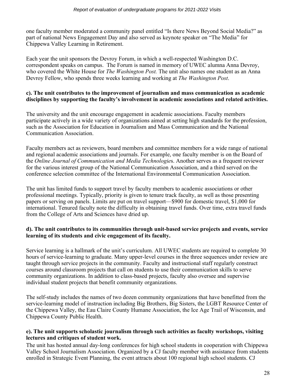one faculty member moderated a community panel entitled "Is there News Beyond Social Media?" as part of national News Engagement Day and also served as keynote speaker on "The Media" for Chippewa Valley Learning in Retirement.

Each year the unit sponsors the Devroy Forum, in which a well-respected Washington D.C. correspondent speaks on campus. The Forum is named in memory of UWEC alumna Anna Devroy, who covered the White House for *The Washington Post.* The unit also names one student as an Anna Devroy Fellow, who spends three weeks learning and working at *The Washington Post*.

## **c). The unit contributes to the improvement of journalism and mass communication as academic disciplines by supporting the faculty's involvement in academic associations and related activities.**

The university and the unit encourage engagement in academic associations. Faculty members participate actively in a wide variety of organizations aimed at setting high standards for the profession, such as the Association for Education in Journalism and Mass Communication and the National Communication Association.

Faculty members act as reviewers, board members and committee members for a wide range of national and regional academic associations and journals. For example, one faculty member is on the Board of the *Online Journal of Communication and Media Technologie*s. Another serves as a frequent reviewer for the various interest group of the National Communication Association, and a third served on the conference selection committee of the International Environmental Communication Association.

The unit has limited funds to support travel by faculty members to academic associations or other professional meetings. Typically, priority is given to tenure track faculty, as well as those presenting papers or serving on panels. Limits are put on travel support—\$900 for domestic travel, \$1,000 for international. Tenured faculty note the difficulty in obtaining travel funds. Over time, extra travel funds from the College of Arts and Sciences have dried up.

## **d). The unit contributes to its communities through unit-based service projects and events, service learning of its students and civic engagement of its faculty.**

Service learning is a hallmark of the unit's curriculum. All UWEC students are required to complete 30 hours of service-learning to graduate. Many upper-level courses in the three sequences under review are taught through service projects in the community. Faculty and instructional staff regularly construct courses around classroom projects that call on students to use their communication skills to serve community organizations. In addition to class-based projects, faculty also oversee and supervise individual student projects that benefit community organizations.

The self-study includes the names of two dozen community organizations that have benefitted from the service-learning model of instruction including Big Brothers, Big Sisters, the LGBT Resource Center of the Chippewa Valley, the Eau Claire County Humane Association, the Ice Age Trail of Wisconsin, and Chippewa County Public Health.

## **e). The unit supports scholastic journalism through such activities as faculty workshops, visiting lectures and critiques of student work.**

The unit has hosted annual day-long conferences for high school students in cooperation with Chippewa Valley School Journalism Association. Organized by a CJ faculty member with assistance from students enrolled in Strategic Event Planning, the event attracts about 100 regional high school students. CJ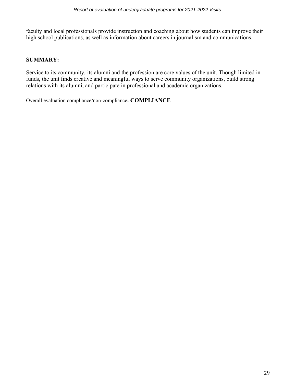faculty and local professionals provide instruction and coaching about how students can improve their high school publications, as well as information about careers in journalism and communications.

## **SUMMARY:**

Service to its community, its alumni and the profession are core values of the unit. Though limited in funds, the unit finds creative and meaningful ways to serve community organizations, build strong relations with its alumni, and participate in professional and academic organizations.

Overall evaluation compliance/non-compliance**: COMPLIANCE**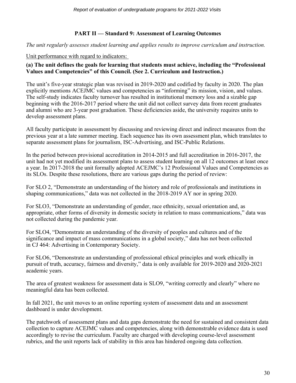## **PART II — Standard 9: Assessment of Learning Outcomes**

*The unit regularly assesses student learning and applies results to improve curriculum and instruction.* 

## Unit performance with regard to indicators:

## **(a) The unit defines the goals for learning that students must achieve, including the "Professional Values and Competencies" of this Council. (See 2. Curriculum and Instruction.)**

The unit's five-year strategic plan was revised in 2019-2020 and codified by faculty in 2020. The plan explicitly mentions ACEJMC values and competencies as "informing" its mission, vision, and values. The self-study indicates faculty turnover has resulted in institutional memory loss and a sizable gap beginning with the 2016-2017 period where the unit did not collect survey data from recent graduates and alumni who are 3-year post graduation. These deficiencies aside, the university requires units to develop assessment plans.

All faculty participate in assessment by discussing and reviewing direct and indirect measures from the previous year at a late summer meeting. Each sequence has its own assessment plan, which translates to separate assessment plans for journalism, ISC-Advertising, and ISC-Public Relations.

In the period between provisional accreditation in 2014-2015 and full accreditation in 2016-2017, the unit had not yet modified its assessment plans to assess student learning on all 12 outcomes at least once a year. In 2017-2018 the unit formally adopted ACEJMC's 12 Professional Values and Competencies as its SLOs. Despite these resolutions, there are various gaps during the period of review:

For SLO 2, "Demonstrate an understanding of the history and role of professionals and institutions in shaping communications," data was not collected in the 2018-2019 AY nor in spring 2020.

For SLO3, "Demonstrate an understanding of gender, race ethnicity, sexual orientation and, as appropriate, other forms of diversity in domestic society in relation to mass communications," data was not collected during the pandemic year.

For SLO4, "Demonstrate an understanding of the diversity of peoples and cultures and of the significance and impact of mass communications in a global society," data has not been collected in CJ 464: Advertising in Contemporary Society.

For SLO6, "Demonstrate an understanding of professional ethical principles and work ethically in pursuit of truth, accuracy, fairness and diversity," data is only available for 2019-2020 and 2020-2021 academic years.

The area of greatest weakness for assessment data is SLO9, "writing correctly and clearly" where no meaningful data has been collected.

In fall 2021, the unit moves to an online reporting system of assessment data and an assessment dashboard is under development.

The patchwork of assessment plans and data gaps demonstrate the need for sustained and consistent data collection to capture ACEJMC values and competencies, along with demonstrable evidence data is used accordingly to revise the curriculum. Faculty are charged with developing course-level assessment rubrics, and the unit reports lack of stability in this area has hindered ongoing data collection.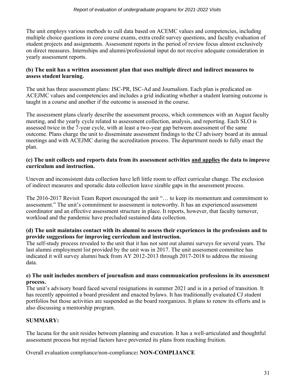The unit employs various methods to cull data based on ACEMC values and competencies, including multiple choice questions in core course exams, extra credit survey questions, and faculty evaluation of student projects and assignments. Assessment reports in the period of review focus almost exclusively on direct measures. Internships and alumni/professional input do not receive adequate consideration in yearly assessment reports.

## **(b) The unit has a written assessment plan that uses multiple direct and indirect measures to assess student learning.**

The unit has three assessment plans: ISC-PR, ISC-Ad and Journalism. Each plan is predicated on ACEJMC values and competencies and includes a grid indicating whether a student learning outcome is taught in a course and another if the outcome is assessed in the course.

The assessment plans clearly describe the assessment process, which commences with an August faculty meeting, and the yearly cycle related to assessment collection, analysis, and reporting. Each SLO is assessed twice in the 7-year cycle, with at least a two-year gap between assessment of the same outcome. Plans charge the unit to disseminate assessment findings to the CJ advisory board at its annual meetings and with ACEJMC during the accreditation process. The department needs to fully enact the plan.

#### **(c) The unit collects and reports data from its assessment activities and applies the data to improve curriculum and instruction.**

Uneven and inconsistent data collection have left little room to effect curricular change. The exclusion of indirect measures and sporadic data collection leave sizable gaps in the assessment process.

The 2016-2017 Revisit Team Report encouraged the unit "… to keep its momentum and commitment to assessment." The unit's commitment to assessment is noteworthy. It has an experienced assessment coordinator and an effective assessment structure in place. It reports, however, that faculty turnover, workload and the pandemic have precluded sustained data collection.

## **(d) The unit maintains contact with its alumni to assess their experiences in the professions and to provide suggestions for improving curriculum and instruction.**

The self-study process revealed to the unit that it has not sent out alumni surveys for several years. The last alumni employment list provided by the unit was in 2017. The unit assessment committee has indicated it will survey alumni back from AY 2012-2013 through 2017-2018 to address the missing data.

## **e) The unit includes members of journalism and mass communication professions in its assessment process.**

The unit's advisory board faced several resignations in summer 2021 and is in a period of transition. It has recently appointed a board president and enacted bylaws. It has traditionally evaluated CJ student portfolios but those activities are suspended as the board reorganizes. It plans to renew its efforts and is also discussing a mentorship program.

# **SUMMARY:**

The lacuna for the unit resides between planning and execution. It has a well-articulated and thoughtful assessment process but myriad factors have prevented its plans from reaching fruition.

Overall evaluation compliance/non-compliance**: NON-COMPLIANCE**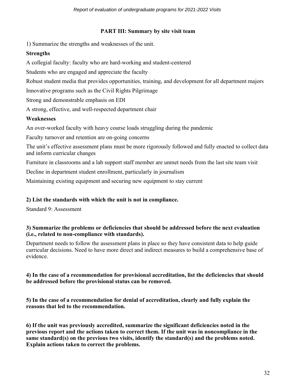## **PART III: Summary by site visit team**

1) Summarize the strengths and weaknesses of the unit.

# **Strengths**

A collegial faculty: faculty who are hard-working and student-centered

Students who are engaged and appreciate the faculty

Robust student media that provides opportunities, training, and development for all department majors

Innovative programs such as the Civil Rights Pilgrimage

Strong and demonstrable emphasis on EDI

A strong, effective, and well-respected department chair

# **Weaknesses**

An over-worked faculty with heavy course loads struggling during the pandemic

Faculty turnover and retention are on-going concerns

The unit's effective assessment plans must be more rigorously followed and fully enacted to collect data and inform curricular changes

Furniture in classrooms and a lab support staff member are unmet needs from the last site team visit

Decline in department student enrollment, particularly in journalism

Maintaining existing equipment and securing new equipment to stay current

# **2) List the standards with which the unit is not in compliance.**

Standard 9: Assessment

## **3) Summarize the problems or deficiencies that should be addressed before the next evaluation (i.e., related to non-compliance with standards).**

Department needs to follow the assessment plans in place so they have consistent data to help guide curricular decisions. Need to have more direct and indirect measures to build a comprehensive base of evidence.

## **4) In the case of a recommendation for provisional accreditation, list the deficiencies that should be addressed before the provisional status can be removed.**

**5) In the case of a recommendation for denial of accreditation, clearly and fully explain the reasons that led to the recommendation.**

**6) If the unit was previously accredited, summarize the significant deficiencies noted in the previous report and the actions taken to correct them. If the unit was in noncompliance in the same standard(s) on the previous two visits, identify the standard(s) and the problems noted. Explain actions taken to correct the problems.**